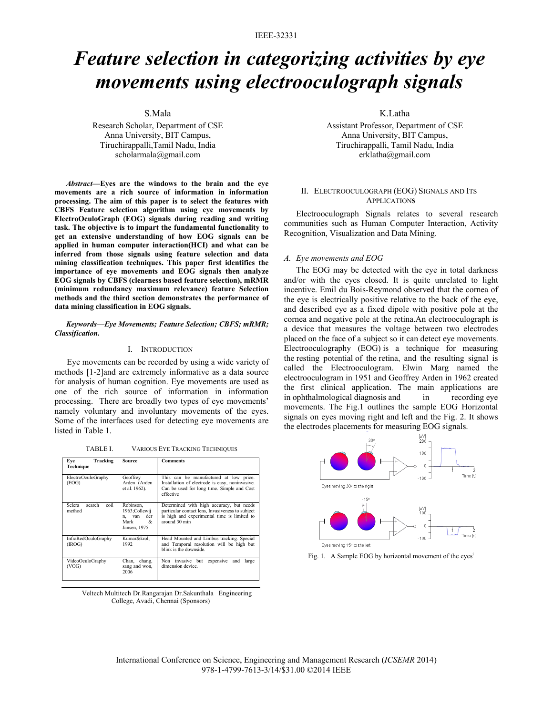## IEEE-32331

# *Feature selection in categorizing activities by eye movements using electrooculograph signals*

S.Mala

Research Scholar, Department of CSE Anna University, BIT Campus, Tiruchirappalli,Tamil Nadu, India scholarmala@gmail.com

*Abstract***—Eyes are the windows to the brain and the eye movements are a rich source of information in information processing. The aim of this paper is to select the features with CBFS Feature selection algorithm using eye movements by ElectroOculoGraph (EOG) signals during reading and writing task. The objective is to impart the fundamental functionality to get an extensive understanding of how EOG signals can be applied in human computer interaction(HCI) and what can be inferred from those signals using feature selection and data mining classification techniques. This paper first identifies the importance of eye movements and EOG signals then analyze EOG signals by CBFS (clearness based feature selection), mRMR (minimum redundancy maximum relevance) feature Selection methods and the third section demonstrates the performance of data mining classification in EOG signals.** 

*Keywords—Eye Movements; Feature Selection; CBFS; mRMR; Classification.* 

#### I. INTRODUCTION

Eye movements can be recorded by using a wide variety of methods [1-2]and are extremely informative as a data source for analysis of human cognition. Eye movements are used as one of the rich source of information in information processing. There are broadly two types of eye movements' namely voluntary and involuntary movements of the eyes. Some of the interfaces used for detecting eye movements are listed in Table 1.

| Tracking<br>Eve<br>Technique       | Source                                                                            | <b>Comments</b>                                                                                                                                              |  |  |  |
|------------------------------------|-----------------------------------------------------------------------------------|--------------------------------------------------------------------------------------------------------------------------------------------------------------|--|--|--|
| ElectroOculoGraphy<br>(EOG)        | Geoffrey<br>Arden (Arden<br>et al. 1962).                                         | This can be manufactured at low price.<br>Installation of electrode is easy, noninvasive.<br>Can be used for long time. Simple and Cost<br>effective         |  |  |  |
| Sclera<br>search<br>coil<br>method | Robinson,<br>1963;Collewij<br>n. van der<br>Mark<br>$\mathcal{R}$<br>Jansen, 1975 | Determined with high accuracy, but needs<br>particular contact lens, Invasiveness to subject<br>is high and experimental time is limited to<br>around 30 min |  |  |  |
| InfraRedOculoGraphy<br>(IROG)      | Kumar&krol.<br>1992                                                               | Head Mounted and Limbus tracking. Special<br>and Temporal resolution will be high but<br>blink is the downside                                               |  |  |  |
| VideoOculoGraphy<br>(VOG)          | Chan, chang,<br>sang and won,<br>2006                                             | Non invasive but expensive<br>large<br>and<br>dimension device                                                                                               |  |  |  |

TABLE I. VARIOUS EYE TRACKING TECHNIQUES

Veltech Multitech Dr.Rangarajan Dr.Sakunthala Engineering College, Avadi, Chennai (Sponsors)

K.Latha

Assistant Professor, Department of CSE Anna University, BIT Campus, Tiruchirappalli, Tamil Nadu, India erklatha@gmail.com

## II. ELECTROOCULOGRAPH (EOG) SIGNALS AND ITS APPLICATION**S**

Electrooculograph Signals relates to several research communities such as Human Computer Interaction, Activity Recognition, Visualization and Data Mining.

## *A. Eye movements and EOG*

The EOG may be detected with the eye in total darkness and/or with the eyes closed. It is quite unrelated to light incentive. Emil du Bois-Reymond observed that the cornea of the eye is electrically positive relative to the back of the eye, and described eye as a fixed dipole with positive pole at the cornea and negative pole at the retina.An electrooculograph is a device that measures the voltage between two electrodes placed on the face of a subject so it can detect eye movements. Electrooculography (EOG) is a technique for measuring the resting potential of the retina, and the resulting signal is called the Electrooculogram. Elwin Marg named the electrooculogram in 1951 and Geoffrey Arden in 1962 created the first clinical application. The main applications are in ophthalmological diagnosis and in recording eye movements. The Fig.1 outlines the sample EOG Horizontal signals on eyes moving right and left and the Fig. 2. It shows the electrodes placements for measuring EOG signals.



Fig. 1. A Sample EOG by horizontal movement of the eyes<sup>i</sup>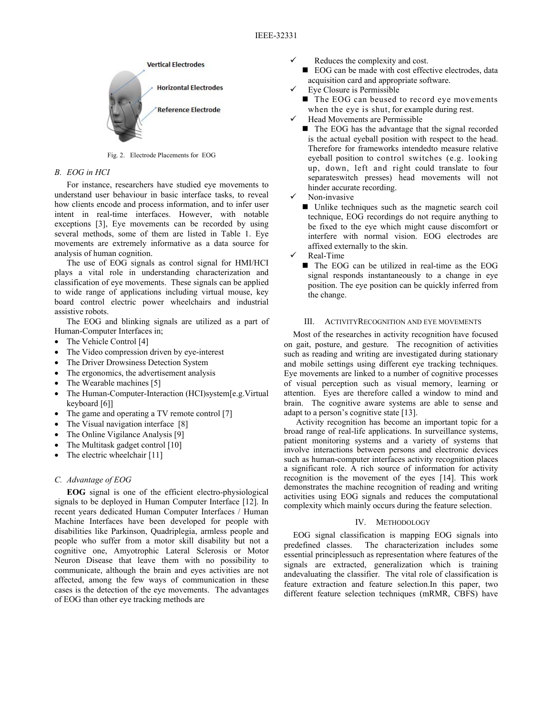

Fig. 2. Electrode Placements for EOG

## *B. EOG in HCI*

For instance, researchers have studied eye movements to understand user behaviour in basic interface tasks, to reveal how clients encode and process information, and to infer user intent in real-time interfaces. However, with notable exceptions [3], Eye movements can be recorded by using several methods, some of them are listed in Table 1. Eye movements are extremely informative as a data source for analysis of human cognition.

The use of EOG signals as control signal for HMI/HCI plays a vital role in understanding characterization and classification of eye movements. These signals can be applied to wide range of applications including virtual mouse, key board control electric power wheelchairs and industrial assistive robots.

The EOG and blinking signals are utilized as a part of Human-Computer Interfaces in;

- $\bullet$  The Vehicle Control [4]
- The Video compression driven by eye-interest
- The Driver Drowsiness Detection System
- The ergonomics, the advertisement analysis
- The Wearable machines [5]
- The Human-Computer-Interaction (HCI)system[e.g.Virtual keyboard [6]]
- The game and operating a TV remote control  $[7]$
- $\bullet$  The Visual navigation interface [8]
- $\bullet$  The Online Vigilance Analysis [9]
- The Multitask gadget control [10]
- The electric wheelchair [11]

## *C. Advantage of EOG*

**EOG** signal is one of the efficient electro-physiological signals to be deployed in Human Computer Interface [12]. In recent years dedicated Human Computer Interfaces / Human Machine Interfaces have been developed for people with disabilities like Parkinson, Quadriplegia, armless people and people who suffer from a motor skill disability but not a cognitive one, Amyotrophic Lateral Sclerosis or Motor Neuron Disease that leave them with no possibility to communicate, although the brain and eyes activities are not affected, among the few ways of communication in these cases is the detection of the eye movements. The advantages of EOG than other eye tracking methods are

- Reduces the complexity and cost.
- EOG can be made with cost effective electrodes, data acquisition card and appropriate software.
- Eye Closure is Permissible
- The EOG can beused to record eye movements when the eye is shut, for example during rest.
- Head Movements are Permissible
- The EOG has the advantage that the signal recorded is the actual eyeball position with respect to the head. Therefore for frameworks intendedto measure relative eyeball position to control switches (e.g. looking up, down, left and right could translate to four separateswitch presses) head movements will not hinder accurate recording.
- Non-invasive
	- Unlike techniques such as the magnetic search coil technique, EOG recordings do not require anything to be fixed to the eye which might cause discomfort or interfere with normal vision. EOG electrodes are affixed externally to the skin.
- Real-Time
	- The EOG can be utilized in real-time as the EOG signal responds instantaneously to a change in eye position. The eye position can be quickly inferred from the change.

## III. ACTIVITYRECOGNITION AND EYE MOVEMENTS

Most of the researches in activity recognition have focused on gait, posture, and gesture. The recognition of activities such as reading and writing are investigated during stationary and mobile settings using different eye tracking techniques. Eye movements are linked to a number of cognitive processes of visual perception such as visual memory, learning or attention. Eyes are therefore called a window to mind and brain. The cognitive aware systems are able to sense and adapt to a person's cognitive state [13].

Activity recognition has become an important topic for a broad range of real-life applications. In surveillance systems, patient monitoring systems and a variety of systems that involve interactions between persons and electronic devices such as human-computer interfaces activity recognition places a significant role. A rich source of information for activity recognition is the movement of the eyes [14]. This work demonstrates the machine recognition of reading and writing activities using EOG signals and reduces the computational complexity which mainly occurs during the feature selection.

## IV. METHODOLOGY

EOG signal classification is mapping EOG signals into predefined classes. The characterization includes some essential principlessuch as representation where features of the signals are extracted, generalization which is training andevaluating the classifier. The vital role of classification is feature extraction and feature selection.In this paper, two different feature selection techniques (mRMR, CBFS) have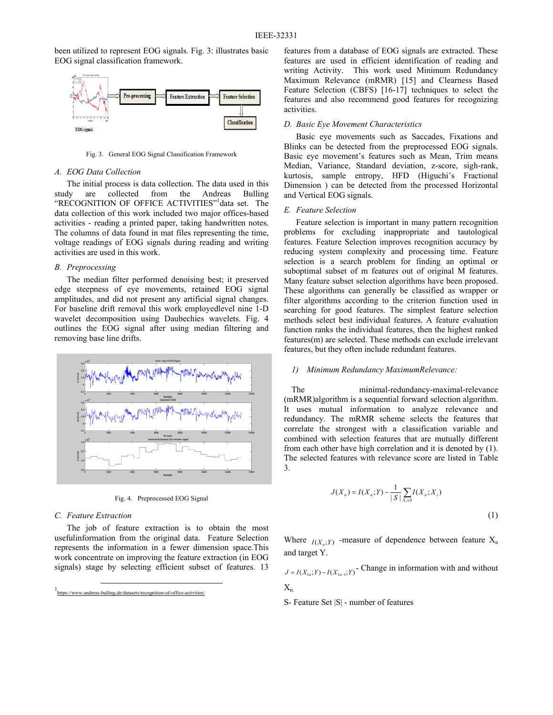been utilized to represent EOG signals. Fig. 3: illustrates basic EOG signal classification framework.



Fig. 3. General EOG Signal Classification Framework

#### *A. EOG Data Collection*

The initial process is data collection. The data used in this study are collected from the Andreas Bulling "RECOGNITION OF OFFICE ACTIVITIES"<sup>1</sup> data set. The data collection of this work included two major offices-based activities - reading a printed paper, taking handwritten notes. The columns of data found in mat files representing the time, voltage readings of EOG signals during reading and writing activities are used in this work.

#### *B. Preprocessing*

The median filter performed denoising best; it preserved edge steepness of eye movements, retained EOG signal amplitudes, and did not present any artificial signal changes. For baseline drift removal this work employedlevel nine 1-D wavelet decomposition using Daubechies wavelets. Fig. 4 outlines the EOG signal after using median filtering and removing base line drifts.



Fig. 4. Preprocessed EOG Signal

### *C. Feature Extraction*

The job of feature extraction is to obtain the most usefulinformation from the original data. Feature Selection represents the information in a fewer dimension space.This work concentrate on improving the feature extraction (in EOG signals) stage by selecting efficient subset of features. 13

features from a database of EOG signals are extracted. These features are used in efficient identification of reading and writing Activity. This work used Minimum Redundancy Maximum Relevance (mRMR) [15] and Clearness Based Feature Selection (CBFS) [16-17] techniques to select the features and also recommend good features for recognizing activities.

# *D. Basic Eye Movement Characteristics*

Basic eye movements such as Saccades, Fixations and Blinks can be detected from the preprocessed EOG signals. Basic eye movement's features such as Mean, Trim means Median, Variance, Standard deviation, z-score, sigh-rank, kurtosis, sample entropy, HFD (Higuchi's Fractional Dimension ) can be detected from the processed Horizontal and Vertical EOG signals.

#### *E. Feature Selection*

Feature selection is important in many pattern recognition problems for excluding inappropriate and tautological features. Feature Selection improves recognition accuracy by reducing system complexity and processing time. Feature selection is a search problem for finding an optimal or suboptimal subset of m features out of original M features. Many feature subset selection algorithms have been proposed. These algorithms can generally be classified as wrapper or filter algorithms according to the criterion function used in searching for good features. The simplest feature selection methods select best individual features. A feature evaluation function ranks the individual features, then the highest ranked features(m) are selected. These methods can exclude irrelevant features, but they often include redundant features.

#### *1) Minimum Redundancy MaximumRelevance:*

The minimal-redundancy-maximal-relevance (mRMR)algorithm is a sequential forward selection algorithm. It uses mutual information to analyze relevance and redundancy. The mRMR scheme selects the features that correlate the strongest with a classification variable and combined with selection features that are mutually different from each other have high correlation and it is denoted by (1). The selected features with relevance score are listed in Table 3.

$$
J(X_n) = I(X_n; Y) - \frac{1}{|S|} \sum_{X_i \in S} I(X_n; X_i)
$$
\n(1)

Where  $I(X_i;Y)$  -measure of dependence between feature  $X_n$ and target Y.

 $J = I(X_{1:n}; Y) - I(X_{1:n-1}; Y)$  Change in information with and without  $X_n$ 

S- Feature Set |S| - number of features

 <sup>1</sup> https://www.andreas-bulling.de/datasets/recognition-of-office-activities/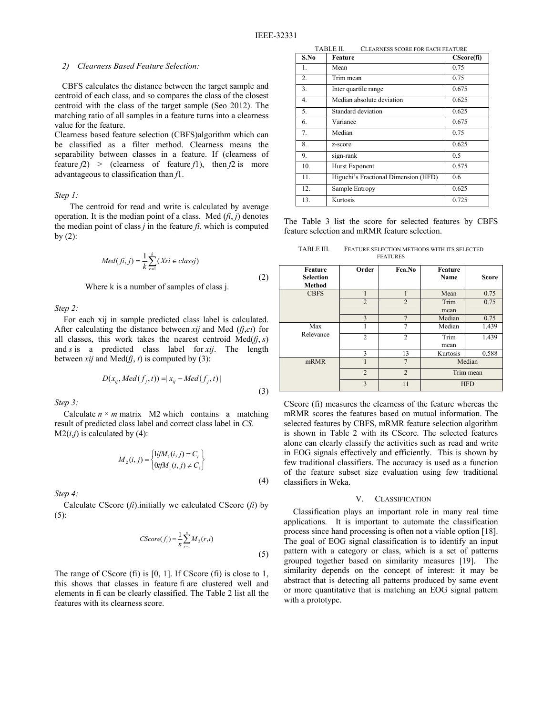#### *2) Clearness Based Feature Selection:*

CBFS calculates the distance between the target sample and centroid of each class, and so compares the class of the closest centroid with the class of the target sample (Seo 2012). The matching ratio of all samples in a feature turns into a clearness value for the feature.

Clearness based feature selection (CBFS)algorithm which can be classified as a filter method. Clearness means the separability between classes in a feature. If (clearness of feature  $f2$ ) > (clearness of feature  $f1$ ), then  $f2$  is more advantageous to classification than *f*1.

#### *Step 1:*

The centroid for read and write is calculated by average operation. It is the median point of a class. Med  $(f_i, j)$  denotes the median point of class *j* in the feature  $\hat{\mu}$ , which is computed by  $(2)$ :

$$
Med(fi, j) = \frac{1}{k} \sum_{r=1}^{k} (Xri \in class j)
$$
\n(2)

Where k is a number of samples of class j.

*Step 2:* 

 For each xij in sample predicted class label is calculated. After calculating the distance between *xij* and Med (*fj*,*ci*) for all classes, this work takes the nearest centroid  $Med(f, s)$ and *s* is a predicted class label for *xij*. The length between *xij* and Med $(fj, t)$  is computed by (3):

$$
D(x_{ij}, Med(f_j, t)) = |x_{ij} - Med(f_j, t)|
$$
\n(3)

*Step 3:* 

Calculate  $n \times m$  matrix M2 which contains a matching result of predicted class label and correct class label in *CS*.  $M2(i,j)$  is calculated by (4):

$$
M_2(i, j) = \begin{cases} \n\text{lif}M_1(i, j) = C_i \\ \n\text{lif}M_1(i, j) \neq C_i \n\end{cases}
$$

*Step 4:* 

 Calculate CScore (*fi*).initially we calculated CScore (*fi*) by (5):

$$
CScore(f_i) = \frac{1}{n} \sum_{r=1}^{n} M_2(r, i)
$$
\n(5)

(4)

The range of CScore (fi) is [0, 1]. If CScore (fi) is close to 1, this shows that classes in feature fi are clustered well and elements in fi can be clearly classified. The Table 2 list all the features with its clearness score.

| TABLE II.<br><b>CLEARNESS SCORE FOR EACH FEATURE</b> |                                      |            |  |  |
|------------------------------------------------------|--------------------------------------|------------|--|--|
| S.No                                                 | Feature                              | CScore(fi) |  |  |
| 1.                                                   | Mean                                 | 0.75       |  |  |
| 2.                                                   | Trim mean                            | 0.75       |  |  |
| 3.                                                   | Inter quartile range                 | 0.675      |  |  |
| $\overline{4}$ .                                     | Median absolute deviation            | 0.625      |  |  |
| 5.                                                   | Standard deviation                   | 0.625      |  |  |
| 6.                                                   | Variance                             | 0.675      |  |  |
| 7.                                                   | Median                               | 0.75       |  |  |
| 8.                                                   | z-score                              | 0.625      |  |  |
| 9.                                                   | sign-rank                            | 0.5        |  |  |
| 10.                                                  | Hurst Exponent                       | 0.575      |  |  |
| 11.                                                  | Higuchi's Fractional Dimension (HFD) | 0.6        |  |  |
| 12 <sub>1</sub>                                      | Sample Entropy                       | 0.625      |  |  |
| 13.                                                  | Kurtosis                             | 0.725      |  |  |

The Table 3 list the score for selected features by CBFS feature selection and mRMR feature selection.

TABLE III. FEATURE SELECTION METHODS WITH ITS SELECTED FEATURES

| <b>Feature</b><br><b>Selection</b><br>Method | Order          | Fea.No         | Feature<br>Name | <b>Score</b> |  |
|----------------------------------------------|----------------|----------------|-----------------|--------------|--|
| <b>CBFS</b>                                  |                |                | Mean            | 0.75         |  |
|                                              | $\mathfrak{D}$ | $\mathfrak{D}$ | Trim<br>mean    | 0.75         |  |
|                                              | $\mathbf{3}$   | 7              | Median          | 0.75         |  |
| Max<br>Relevance                             |                | 7              | Median          | 1.439        |  |
|                                              | $\overline{c}$ | $\overline{2}$ | Trim<br>mean    | 1.439        |  |
|                                              | 3              | 13             | Kurtosis        | 0.588        |  |
| mRMR                                         |                | 7              | Median          |              |  |
|                                              | $\mathfrak{D}$ | $\overline{2}$ |                 | Trim mean    |  |
|                                              | $\mathbf{3}$   | 11             | <b>HFD</b>      |              |  |

CScore (fi) measures the clearness of the feature whereas the mRMR scores the features based on mutual information. The selected features by CBFS, mRMR feature selection algorithm is shown in Table 2 with its CScore. The selected features alone can clearly classify the activities such as read and write in EOG signals effectively and efficiently. This is shown by few traditional classifiers. The accuracy is used as a function of the feature subset size evaluation using few traditional classifiers in Weka.

#### V. CLASSIFICATION

Classification plays an important role in many real time applications. It is important to automate the classification process since hand processing is often not a viable option [18]. The goal of EOG signal classification is to identify an input pattern with a category or class, which is a set of patterns grouped together based on similarity measures [19]. The similarity depends on the concept of interest: it may be abstract that is detecting all patterns produced by same event or more quantitative that is matching an EOG signal pattern with a prototype.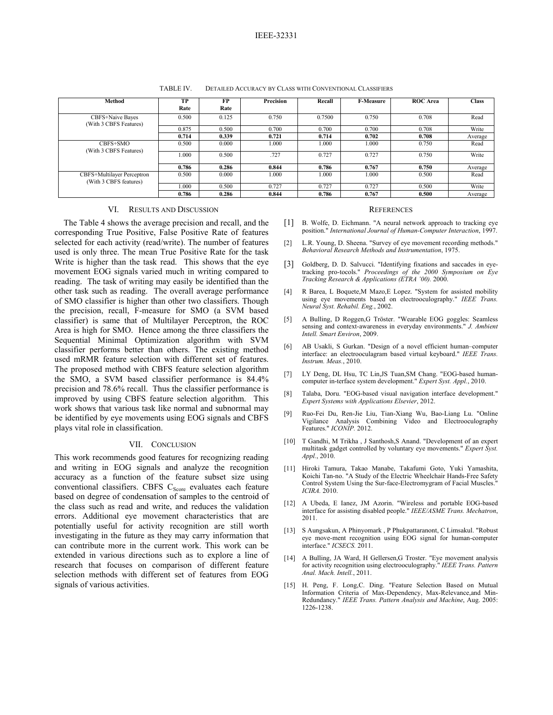| TABLE IV.<br>DETAILED ACCURACY BY CLASS WITH CONVENTIONAL CLASSIFIERS |
|-----------------------------------------------------------------------|
|-----------------------------------------------------------------------|

| Method                                               | TР       | FP    | Precision | Recall | <b>F-Measure</b> | <b>ROC</b> Area | <b>Class</b> |
|------------------------------------------------------|----------|-------|-----------|--------|------------------|-----------------|--------------|
|                                                      | Rate     | Rate  |           |        |                  |                 |              |
| CBFS+Naive Bayes<br>(With 3 CBFS Features)           | 0.500    | 0.125 | 0.750     | 0.7500 | 0.750            | 0.708           | Read         |
|                                                      | 0.875    | 0.500 | 0.700     | 0.700  | 0.700            | 0.708           | Write        |
|                                                      | 0.714    | 0.339 | 0.721     | 0.714  | 0.702            | 0.708           | Average      |
| CBFS+SMO<br>(With 3 CBFS Features)                   | 0.500    | 0.000 | 1.000     | 1.000  | 1.000            | 0.750           | Read         |
|                                                      | .000     | 0.500 | .727      | 0.727  | 0.727            | 0.750           | Write        |
|                                                      | 0.786    | 0.286 | 0.844     | 0.786  | 0.767            | 0.750           | Average      |
| CBFS+Multilayer Perceptron<br>(With 3 CBFS features) | 0.500    | 0.000 | 000.1     | 1.000  | 1.000            | 0.500           | Read         |
|                                                      | $000 \,$ | 0.500 | 0.727     | 0.727  | 0.727            | 0.500           | Write        |
|                                                      | 0.786    | 0.286 | 0.844     | 0.786  | 0.767            | 0.500           | Average      |

#### VI. RESULTS AND DISCUSSION

The Table 4 shows the average precision and recall, and the corresponding True Positive, False Positive Rate of features selected for each activity (read/write). The number of features used is only three. The mean True Positive Rate for the task Write is higher than the task read. This shows that the eye movement EOG signals varied much in writing compared to reading. The task of writing may easily be identified than the other task such as reading. The overall average performance of SMO classifier is higher than other two classifiers. Though the precision, recall, F-measure for SMO (a SVM based classifier) is same that of Multilayer Perceptron, the ROC Area is high for SMO. Hence among the three classifiers the Sequential Minimal Optimization algorithm with SVM classifier performs better than others. The existing method used mRMR feature selection with different set of features. The proposed method with CBFS feature selection algorithm the SMO, a SVM based classifier performance is 84.4% precision and 78.6% recall. Thus the classifier performance is improved by using CBFS feature selection algorithm. This work shows that various task like normal and subnormal may be identified by eye movements using EOG signals and CBFS plays vital role in classification.

#### VII. CONCLUSION

This work recommends good features for recognizing reading and writing in EOG signals and analyze the recognition accuracy as a function of the feature subset size using conventional classifiers. CBFS C<sub>Score</sub> evaluates each feature based on degree of condensation of samples to the centroid of the class such as read and write, and reduces the validation errors. Additional eye movement characteristics that are potentially useful for activity recognition are still worth investigating in the future as they may carry information that can contribute more in the current work. This work can be extended in various directions such as to explore a line of research that focuses on comparison of different feature selection methods with different set of features from EOG signals of various activities.

#### **REFERENCES**

- [1] B. Wolfe, D. Eichmann. "A neural network approach to tracking eye position." *International Journal of Human-Computer Interaction*, 1997.
- [2] L.R. Young, D. Sheena. "Survey of eye movement recording methods." *Behavioral Research Methods and Instrumentation*, 1975.
- [3] Goldberg, D. D. Salvucci. "Identifying fixations and saccades in eyetracking pro-tocols." *Proceedings of the 2000 Symposium on Eye Tracking Research & Applications (ETRA '00).* 2000.
- [4] R Barea, L Boquete,M Mazo,E Lopez. "System for assisted mobility using eye movements based on electrooculography." *IEEE Trans. Neural Syst. Rehabil. Eng.*, 2002.
- [5] A Bulling, D Roggen,G Tröster. "Wearable EOG goggles: Seamless sensing and context-awareness in everyday environments." *J. Ambient Intell. Smart Environ*, 2009.
- [6] AB Usakli, S Gurkan. "Design of a novel efficient human–computer interface: an electrooculagram based virtual keyboard." *IEEE Trans. Instrum. Meas.*, 2010.
- [7] LY Deng, DL Hsu, TC Lin,JS Tuan,SM Chang. "EOG-based humancomputer in-terface system development." *Expert Syst. Appl.*, 2010.
- [8] Talaba, Doru. "EOG-based visual navigation interface development." *Expert Systems with Applications Elsevier*, 2012.
- [9] Ruo-Fei Du, Ren-Jie Liu, Tian-Xiang Wu, Bao-Liang Lu. "Online Vigilance Analysis Combining Video and Electrooculography Features." *ICONIP.* 2012.
- [10] T Gandhi, M Trikha , J Santhosh,S Anand. "Development of an expert multitask gadget controlled by voluntary eye movements." *Expert Syst. Appl.*, 2010.
- [11] Hiroki Tamura, Takao Manabe, Takafumi Goto, Yuki Yamashita, Koichi Tan-no. "A Study of the Electric Wheelchair Hands-Free Safety Control System Using the Sur-face-Electromygram of Facial Muscles." *ICIRA.* 2010.
- [12] A Ubeda, E Ianez, JM Azorin. "Wireless and portable EOG-based interface for assisting disabled people." *IEEE/ASME Trans. Mechatron*, 2011.
- [13] S Aungsakun, A Phinyomark , P Phukpattaranont, C Limsakul. "Robust eye move-ment recognition using EOG signal for human-computer interface." *ICSECS.* 2011.
- [14] A Bulling, JA Ward, H Gellersen, G Troster. "Eye movement analysis for activity recognition using electrooculography." *IEEE Trans. Pattern Anal. Mach. Intell.*, 2011.
- [15] H. Peng, F. Long,C. Ding. "Feature Selection Based on Mutual Information Criteria of Max-Dependency, Max-Relevance,and Min-Redundancy." *IEEE Trans. Pattern Analysis and Machine*, Aug. 2005: 1226-1238.